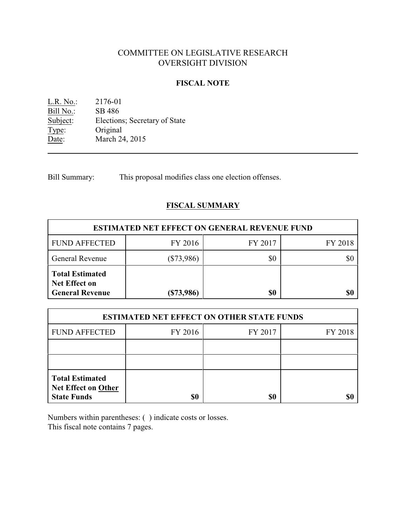# COMMITTEE ON LEGISLATIVE RESEARCH OVERSIGHT DIVISION

## **FISCAL NOTE**

L.R. No.: 2176-01 Bill No.: SB 486<br>Subject: Election Elections; Secretary of State Type: Original<br>Date: March 24 March 24, 2015

Bill Summary: This proposal modifies class one election offenses.

# **FISCAL SUMMARY**

| <b>ESTIMATED NET EFFECT ON GENERAL REVENUE FUND</b>                      |              |         |         |  |  |  |  |
|--------------------------------------------------------------------------|--------------|---------|---------|--|--|--|--|
| <b>FUND AFFECTED</b>                                                     | FY 2016      | FY 2017 | FY 2018 |  |  |  |  |
| <b>General Revenue</b>                                                   | $(\$73,986)$ | \$0     |         |  |  |  |  |
| <b>Total Estimated</b><br><b>Net Effect on</b><br><b>General Revenue</b> | (S73,986)    | \$0     | \$0     |  |  |  |  |

| <b>ESTIMATED NET EFFECT ON OTHER STATE FUNDS</b>                    |         |         |         |  |  |  |  |
|---------------------------------------------------------------------|---------|---------|---------|--|--|--|--|
| <b>FUND AFFECTED</b>                                                | FY 2016 | FY 2017 | FY 2018 |  |  |  |  |
|                                                                     |         |         |         |  |  |  |  |
|                                                                     |         |         |         |  |  |  |  |
| <b>Total Estimated</b><br>Net Effect on Other<br><b>State Funds</b> | \$0     | \$0     |         |  |  |  |  |

Numbers within parentheses: ( ) indicate costs or losses. This fiscal note contains 7 pages.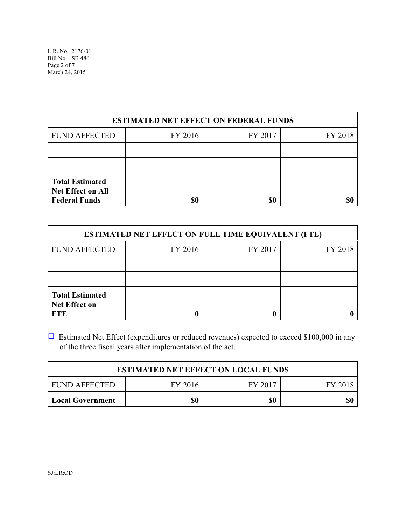L.R. No. 2176-01 Bill No. SB 486 Page 2 of 7 March 24, 2015

| <b>ESTIMATED NET EFFECT ON FEDERAL FUNDS</b>                               |         |         |         |  |  |  |
|----------------------------------------------------------------------------|---------|---------|---------|--|--|--|
| <b>FUND AFFECTED</b>                                                       | FY 2016 | FY 2017 | FY 2018 |  |  |  |
|                                                                            |         |         |         |  |  |  |
|                                                                            |         |         |         |  |  |  |
| <b>Total Estimated</b><br><b>Net Effect on All</b><br><b>Federal Funds</b> | \$0     | \$0     |         |  |  |  |

| <b>ESTIMATED NET EFFECT ON FULL TIME EQUIVALENT (FTE)</b>    |         |         |         |  |  |  |  |
|--------------------------------------------------------------|---------|---------|---------|--|--|--|--|
| <b>FUND AFFECTED</b>                                         | FY 2016 | FY 2017 | FY 2018 |  |  |  |  |
|                                                              |         |         |         |  |  |  |  |
|                                                              |         |         |         |  |  |  |  |
| <b>Total Estimated</b><br><b>Net Effect on</b><br><b>FTE</b> |         |         |         |  |  |  |  |

 $\Box$  Estimated Net Effect (expenditures or reduced revenues) expected to exceed \$100,000 in any of the three fiscal years after implementation of the act.

| <b>ESTIMATED NET EFFECT ON LOCAL FUNDS</b> |         |         |         |  |  |  |
|--------------------------------------------|---------|---------|---------|--|--|--|
| FUND AFFECTED                              | FY 2016 | FY 2017 | FY 2018 |  |  |  |
| Local Government                           | \$0     | \$0     | \$0     |  |  |  |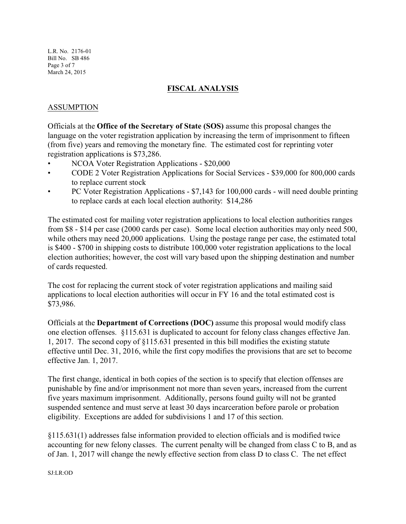L.R. No. 2176-01 Bill No. SB 486 Page 3 of 7 March 24, 2015

## **FISCAL ANALYSIS**

## ASSUMPTION

Officials at the **Office of the Secretary of State (SOS)** assume this proposal changes the language on the voter registration application by increasing the term of imprisonment to fifteen (from five) years and removing the monetary fine. The estimated cost for reprinting voter registration applications is \$73,286.

- NCOA Voter Registration Applications \$20,000
- CODE 2 Voter Registration Applications for Social Services \$39,000 for 800,000 cards to replace current stock
- PC Voter Registration Applications \$7,143 for 100,000 cards will need double printing to replace cards at each local election authority: \$14,286

The estimated cost for mailing voter registration applications to local election authorities ranges from \$8 - \$14 per case (2000 cards per case). Some local election authorities may only need 500, while others may need 20,000 applications. Using the postage range per case, the estimated total is \$400 - \$700 in shipping costs to distribute 100,000 voter registration applications to the local election authorities; however, the cost will vary based upon the shipping destination and number of cards requested.

The cost for replacing the current stock of voter registration applications and mailing said applications to local election authorities will occur in FY 16 and the total estimated cost is \$73,986.

Officials at the **Department of Corrections (DOC)** assume this proposal would modify class one election offenses. §115.631 is duplicated to account for felony class changes effective Jan. 1, 2017. The second copy of §115.631 presented in this bill modifies the existing statute effective until Dec. 31, 2016, while the first copy modifies the provisions that are set to become effective Jan. 1, 2017.

The first change, identical in both copies of the section is to specify that election offenses are punishable by fine and/or imprisonment not more than seven years, increased from the current five years maximum imprisonment. Additionally, persons found guilty will not be granted suspended sentence and must serve at least 30 days incarceration before parole or probation eligibility. Exceptions are added for subdivisions 1 and 17 of this section.

§115.631(1) addresses false information provided to election officials and is modified twice accounting for new felony classes. The current penalty will be changed from class C to B, and as of Jan. 1, 2017 will change the newly effective section from class D to class C. The net effect

SJ:LR:OD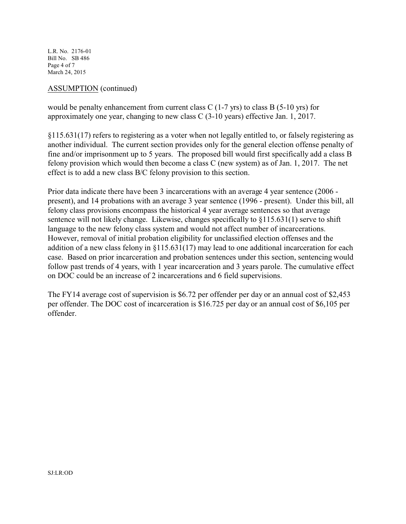L.R. No. 2176-01 Bill No. SB 486 Page 4 of 7 March 24, 2015

## ASSUMPTION (continued)

would be penalty enhancement from current class C  $(1-7 \text{ yrs})$  to class B  $(5-10 \text{ yrs})$  for approximately one year, changing to new class C (3-10 years) effective Jan. 1, 2017.

§115.631(17) refers to registering as a voter when not legally entitled to, or falsely registering as another individual. The current section provides only for the general election offense penalty of fine and/or imprisonment up to 5 years. The proposed bill would first specifically add a class B felony provision which would then become a class C (new system) as of Jan. 1, 2017. The net effect is to add a new class B/C felony provision to this section.

Prior data indicate there have been 3 incarcerations with an average 4 year sentence (2006 present), and 14 probations with an average 3 year sentence (1996 - present). Under this bill, all felony class provisions encompass the historical 4 year average sentences so that average sentence will not likely change. Likewise, changes specifically to §115.631(1) serve to shift language to the new felony class system and would not affect number of incarcerations. However, removal of initial probation eligibility for unclassified election offenses and the addition of a new class felony in §115.631(17) may lead to one additional incarceration for each case. Based on prior incarceration and probation sentences under this section, sentencing would follow past trends of 4 years, with 1 year incarceration and 3 years parole. The cumulative effect on DOC could be an increase of 2 incarcerations and 6 field supervisions.

The FY14 average cost of supervision is \$6.72 per offender per day or an annual cost of \$2,453 per offender. The DOC cost of incarceration is \$16.725 per day or an annual cost of \$6,105 per offender.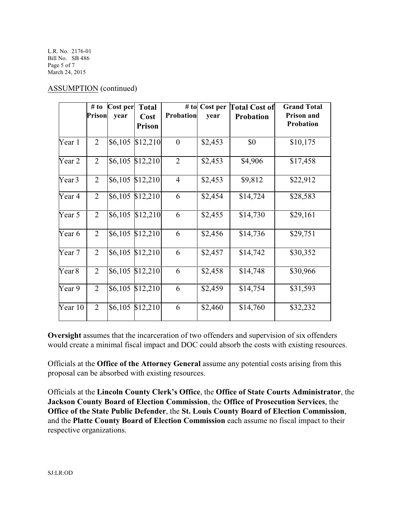L.R. No. 2176-01 Bill No. SB 486 Page 5 of 7 March 24, 2015

| <b>ASSUMPTION</b> (continued) |  |
|-------------------------------|--|
|-------------------------------|--|

|                   | # to<br><b>Prison</b> | Cost per<br>year | <b>Total</b><br>Cost<br>Prison | $#$ to<br>Probation | Cost per<br>year | <b>Total Cost of</b><br>Probation | <b>Grand Total</b><br><b>Prison and</b><br>Probation |
|-------------------|-----------------------|------------------|--------------------------------|---------------------|------------------|-----------------------------------|------------------------------------------------------|
| Year 1            | 2                     | \$6,105          | \$12,210                       | $\overline{0}$      | \$2,453          | \$0                               | \$10,175                                             |
| Year 2            | $\overline{2}$        | \$6,105          | \$12,210                       | $\overline{2}$      | \$2,453          | \$4,906                           | \$17,458                                             |
| Year 3            | $\overline{2}$        | \$6,105          | \$12,210                       | $\overline{4}$      | \$2,453          | \$9,812                           | \$22,912                                             |
| Year 4            | $\overline{2}$        | \$6,105          | \$12,210                       | 6                   | \$2,454          | \$14,724                          | \$28,583                                             |
| Year 5            | $\overline{2}$        | \$6,105          | \$12,210                       | 6                   | \$2,455          | \$14,730                          | \$29,161                                             |
| Year 6            | $\overline{2}$        | \$6,105          | \$12,210                       | 6                   | \$2,456          | \$14,736                          | \$29,751                                             |
| Year 7            | $\overline{2}$        | \$6,105          | \$12,210                       | 6                   | \$2,457          | \$14,742                          | \$30,352                                             |
| Year <sub>8</sub> | $\overline{2}$        | \$6,105          | \$12,210                       | 6                   | \$2,458          | \$14,748                          | \$30,966                                             |
| Year 9            | $\overline{2}$        | \$6,105          | \$12,210                       | 6                   | \$2,459          | \$14,754                          | \$31,593                                             |
| Year 10           | $\overline{2}$        | \$6,105          | \$12,210                       | 6                   | \$2,460          | \$14,760                          | \$32,232                                             |

**Oversight** assumes that the incarceration of two offenders and supervision of six offenders would create a minimal fiscal impact and DOC could absorb the costs with existing resources.

Officials at the **Office of the Attorney General** assume any potential costs arising from this proposal can be absorbed with existing resources.

Officials at the **Lincoln County Clerk's Office**, the **Office of State Courts Administrator**, the **Jackson County Board of Election Commission**, the **Office of Prosecution Services**, the **Office of the State Public Defender**, the **St. Louis County Board of Election Commission**, and the **Platte County Board of Election Commission** each assume no fiscal impact to their respective organizations.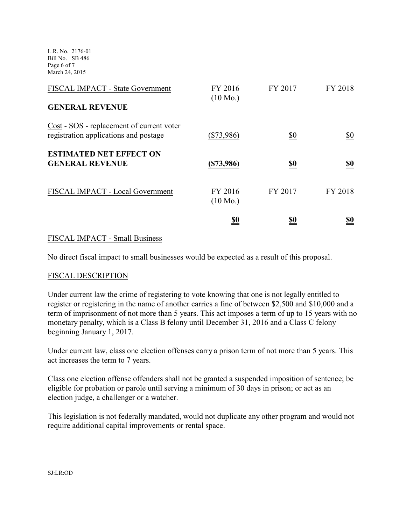L.R. No. 2176-01 Bill No. SB 486 Page 6 of 7 March 24, 2015

| FISCAL IMPACT - State Government                                                   | FY 2016                       | FY 2017    | FY 2018    |
|------------------------------------------------------------------------------------|-------------------------------|------------|------------|
| <b>GENERAL REVENUE</b>                                                             | $(10 \text{ Mo.})$            |            |            |
| Cost - SOS - replacement of current voter<br>registration applications and postage | $(\$73,986)$                  | \$0        | \$0        |
| <b>ESTIMATED NET EFFECT ON</b><br><b>GENERAL REVENUE</b>                           | $(\$73,986)$                  | <u>\$0</u> | <u>\$0</u> |
| FISCAL IMPACT - Local Government                                                   | FY 2016<br>$(10 \text{ Mo.})$ | FY 2017    | FY 2018    |
|                                                                                    | <u>\$0</u>                    | <u>\$0</u> | <u>\$0</u> |

## FISCAL IMPACT - Small Business

No direct fiscal impact to small businesses would be expected as a result of this proposal.

#### FISCAL DESCRIPTION

Under current law the crime of registering to vote knowing that one is not legally entitled to register or registering in the name of another carries a fine of between \$2,500 and \$10,000 and a term of imprisonment of not more than 5 years. This act imposes a term of up to 15 years with no monetary penalty, which is a Class B felony until December 31, 2016 and a Class C felony beginning January 1, 2017.

Under current law, class one election offenses carry a prison term of not more than 5 years. This act increases the term to 7 years.

Class one election offense offenders shall not be granted a suspended imposition of sentence; be eligible for probation or parole until serving a minimum of 30 days in prison; or act as an election judge, a challenger or a watcher.

This legislation is not federally mandated, would not duplicate any other program and would not require additional capital improvements or rental space.